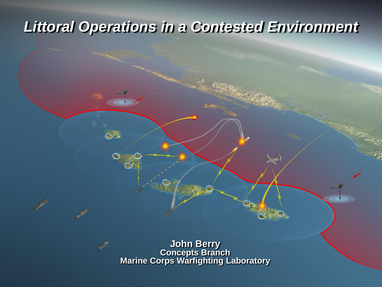## *Littoral Operations in a Contested Environment*

 $\infty$ 

**John Berry Concepts Branch Marine Corps Warfighting Laboratory**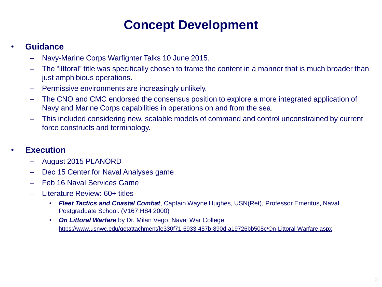### **Concept Development**

#### • **Guidance**

- Navy-Marine Corps Warfighter Talks 10 June 2015.
- The "littoral" title was specifically chosen to frame the content in a manner that is much broader than just amphibious operations.
- Permissive environments are increasingly unlikely.
- The CNO and CMC endorsed the consensus position to explore a more integrated application of Navy and Marine Corps capabilities in operations on and from the sea.
- This included considering new, scalable models of command and control unconstrained by current force constructs and terminology.

#### • **Execution**

- August 2015 PLANORD
- Dec 15 Center for Naval Analyses game
- Feb 16 Naval Services Game
- Literature Review: 60+ titles
	- *Fleet Tactics and Coastal Combat*, Captain Wayne Hughes, USN(Ret), Professor Emeritus, Naval Postgraduate School. (V167.H84 2000)
	- *On Littoral Warfare* by Dr. Milan Vego, Naval War College https://www.usnwc.edu/getattachment/fe330f71-6933-457b-890d-a19726bb508c/On-Littoral-Warfare.aspx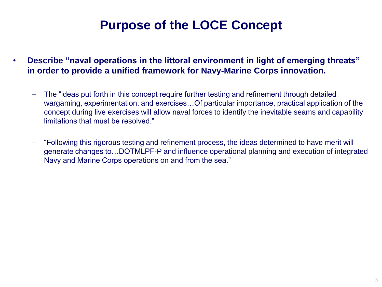### **Purpose of the LOCE Concept**

- **Describe "naval operations in the littoral environment in light of emerging threats" in order to provide a unified framework for Navy-Marine Corps innovation.** 
	- The "ideas put forth in this concept require further testing and refinement through detailed wargaming, experimentation, and exercises…Of particular importance, practical application of the concept during live exercises will allow naval forces to identify the inevitable seams and capability limitations that must be resolved."
	- "Following this rigorous testing and refinement process, the ideas determined to have merit will generate changes to…DOTMLPF-P and influence operational planning and execution of integrated Navy and Marine Corps operations on and from the sea."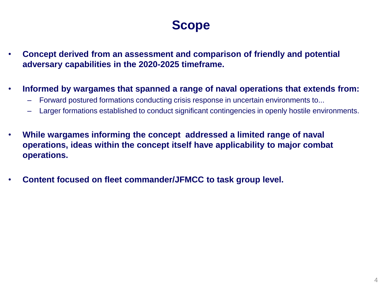### **Scope**

- **Concept derived from an assessment and comparison of friendly and potential adversary capabilities in the 2020-2025 timeframe.**
- **Informed by wargames that spanned a range of naval operations that extends from:**
	- Forward postured formations conducting crisis response in uncertain environments to...
	- Larger formations established to conduct significant contingencies in openly hostile environments.
- **While wargames informing the concept addressed a limited range of naval operations, ideas within the concept itself have applicability to major combat operations.**
- **Content focused on fleet commander/JFMCC to task group level.**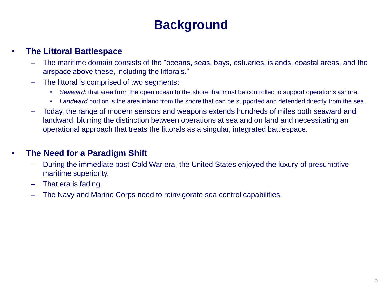### **Background**

#### • **The Littoral Battlespace**

- The maritime domain consists of the "oceans, seas, bays, estuaries, islands, coastal areas, and the airspace above these, including the littorals."
- The littoral is comprised of two segments:
	- *Seaward*: that area from the open ocean to the shore that must be controlled to support operations ashore.
	- *Landward* portion is the area inland from the shore that can be supported and defended directly from the sea.
- Today, the range of modern sensors and weapons extends hundreds of miles both seaward and landward, blurring the distinction between operations at sea and on land and necessitating an operational approach that treats the littorals as a singular, integrated battlespace.

#### • **The Need for a Paradigm Shift**

- During the immediate post-Cold War era, the United States enjoyed the luxury of presumptive maritime superiority.
- That era is fading.
- The Navy and Marine Corps need to reinvigorate sea control capabilities.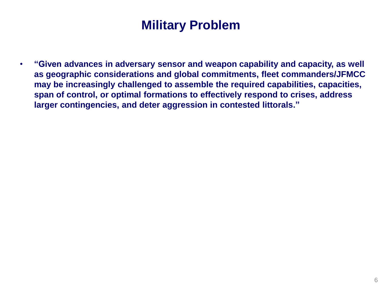### **Military Problem**

• **"Given advances in adversary sensor and weapon capability and capacity, as well as geographic considerations and global commitments, fleet commanders/JFMCC may be increasingly challenged to assemble the required capabilities, capacities, span of control, or optimal formations to effectively respond to crises, address larger contingencies, and deter aggression in contested littorals."**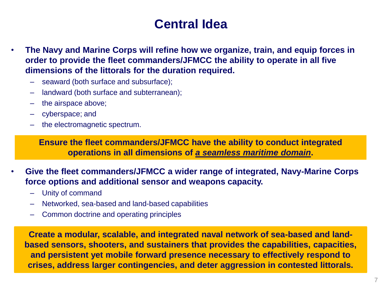#### **Central Idea**

- **The Navy and Marine Corps will refine how we organize, train, and equip forces in order to provide the fleet commanders/JFMCC the ability to operate in all five dimensions of the littorals for the duration required.** 
	- seaward (both surface and subsurface);
	- landward (both surface and subterranean);
	- the airspace above;
	- cyberspace; and
	- the electromagnetic spectrum.

**Ensure the fleet commanders/JFMCC have the ability to conduct integrated operations in all dimensions of** *a seamless maritime domain***.**

- **Give the fleet commanders/JFMCC a wider range of integrated, Navy-Marine Corps force options and additional sensor and weapons capacity.** 
	- Unity of command
	- Networked, sea-based and land-based capabilities
	- Common doctrine and operating principles

**Create a modular, scalable, and integrated naval network of sea-based and landbased sensors, shooters, and sustainers that provides the capabilities, capacities, and persistent yet mobile forward presence necessary to effectively respond to crises, address larger contingencies, and deter aggression in contested littorals.**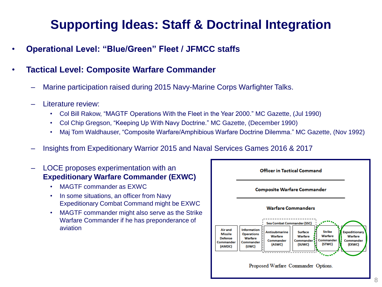### **Supporting Ideas: Staff & Doctrinal Integration**

- **Operational Level: "Blue/Green" Fleet / JFMCC staffs**
- **Tactical Level: Composite Warfare Commander**
	- Marine participation raised during 2015 Navy-Marine Corps Warfighter Talks.
	- Literature review:
		- Col Bill Rakow, "MAGTF Operations With the Fleet in the Year 2000." MC Gazette, (Jul 1990)
		- Col Chip Gregson, "Keeping Up With Navy Doctrine." MC Gazette, (December 1990)
		- Maj Tom Waldhauser, "Composite Warfare/Amphibious Warfare Doctrine Dilemma." MC Gazette, (Nov 1992)
	- Insights from Expeditionary Warrior 2015 and Naval Services Games 2016 & 2017
	- LOCE proposes experimentation with an **Expeditionary Warfare Commander (EXWC)**
		- MAGTF commander as EXWC
		- In some situations, an officer from Navy Expeditionary Combat Command might be EXWC
		- MAGTF commander might also serve as the Strike Warfare Commander if he has preponderance of aviation

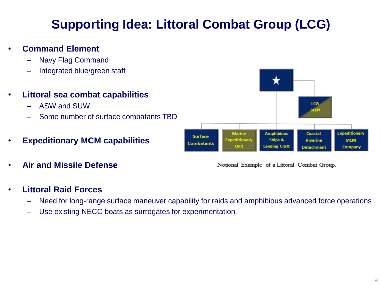### **Supporting Idea: Littoral Combat Group (LCG)**

- **Command Element**
	- Navy Flag Command
	- Integrated blue/green staff
- **Littoral sea combat capabilities**
	- ASW and SUW
	- Some number of surface combatants TBD
- **Expeditionary MCM capabilities**
- **Air and Missile Defense**

#### LCG. **Expeditionary Marine Amphibious** Coastal **Surface** ditionary **Ships & Riverine MCM Combatants** Unit **Landing Craft Detachment** Company

Notional Example of a Littoral Combat Group.

#### • **Littoral Raid Forces**

- Need for long-range surface maneuver capability for raids and amphibious advanced force operations
- Use existing NECC boats as surrogates for experimentation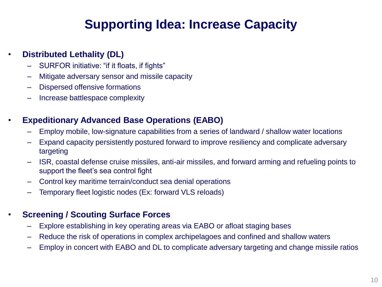### **Supporting Idea: Increase Capacity**

#### • **Distributed Lethality (DL)**

- SURFOR initiative: "if it floats, if fights"
- Mitigate adversary sensor and missile capacity
- Dispersed offensive formations
- Increase battlespace complexity

#### • **Expeditionary Advanced Base Operations (EABO)**

- Employ mobile, low-signature capabilities from a series of landward / shallow water locations
- Expand capacity persistently postured forward to improve resiliency and complicate adversary targeting
- ISR, coastal defense cruise missiles, anti-air missiles, and forward arming and refueling points to support the fleet's sea control fight
- Control key maritime terrain/conduct sea denial operations
- Temporary fleet logistic nodes (Ex: forward VLS reloads)

#### • **Screening / Scouting Surface Forces**

- Explore establishing in key operating areas via EABO or afloat staging bases
- Reduce the risk of operations in complex archipelagoes and confined and shallow waters
- Employ in concert with EABO and DL to complicate adversary targeting and change missile ratios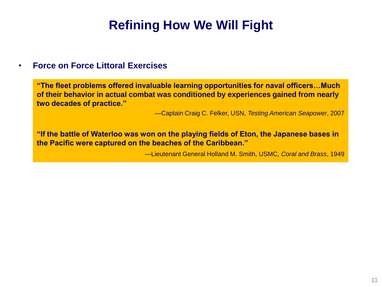### **Refining How We Will Fight**

#### • **Force on Force Littoral Exercises**

**"The fleet problems offered invaluable learning opportunities for naval officers…Much of their behavior in actual combat was conditioned by experiences gained from nearly two decades of practice."**

—Captain Craig C. Felker, USN, *Testing American Seapower*, 2007

**"If the battle of Waterloo was won on the playing fields of Eton, the Japanese bases in the Pacific were captured on the beaches of the Caribbean."**

—Lieutenant General Holland M. Smith, USMC, *Coral and Brass*, 1949